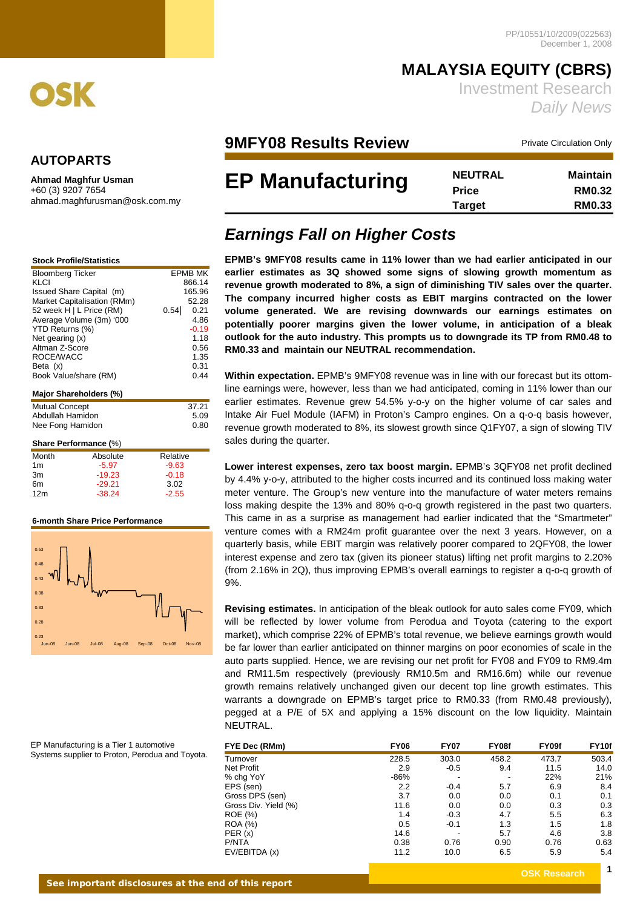

### **AUTOPARTS**

**Ahmad Maghfur Usman** +60 (3) 9207 7654 ahmad.maghfurusman@osk.com.my

| <b>Stock Profile/Statistics</b> |
|---------------------------------|
|                                 |

| <b>Bloomberg Ticker</b>     |      | <b>EPMB MK</b> |
|-----------------------------|------|----------------|
| KLCI                        |      | 866.14         |
| Issued Share Capital (m)    |      | 165.96         |
| Market Capitalisation (RMm) |      | 52.28          |
| 52 week H   L Price (RM)    | 0.54 | 0.21           |
| Average Volume (3m) '000    |      | 4.86           |
| YTD Returns (%)             |      | $-0.19$        |
| Net gearing $(x)$           |      | 1.18           |
| Altman Z-Score              |      | 0.56           |
| ROCE/WACC                   |      | 1.35           |
| Beta $(x)$                  |      | 0.31           |
| Book Value/share (RM)       |      | 0.44           |
|                             |      |                |
| Major Shareholders (%)      |      |                |

| <b>Mutual Concept</b> | 37.21 |
|-----------------------|-------|
| Abdullah Hamidon      | 5.09  |
| Nee Fong Hamidon      | 0.80  |

### **Share Performance (**%)

| Month           | Absolute | Relative |
|-----------------|----------|----------|
| 1m              | $-5.97$  | $-9.63$  |
| 3m              | $-19.23$ | $-0.18$  |
| 6m              | $-29.21$ | 3.02     |
| 12 <sub>m</sub> | $-38.24$ | $-2.55$  |

#### **6-month Share Price Performance**



EP Manufacturing is a Tier 1 automotive Systems supplier to Proton, Perodua and Toyota.

## **MALAYSIA EQUITY (CBRS)**  Investment Research *Daily News*

## **9MFY08 Results Review** Private Circulation Only

# **EP Manufacturing**

| <b>NEUTRAL</b> | <b>Maintain</b> |
|----------------|-----------------|
| <b>Price</b>   | <b>RM0.32</b>   |
| <b>Target</b>  | <b>RM0.33</b>   |

## *Earnings Fall on Higher Costs*

**EPMB's 9MFY08 results came in 11% lower than we had earlier anticipated in our earlier estimates as 3Q showed some signs of slowing growth momentum as revenue growth moderated to 8%, a sign of diminishing TIV sales over the quarter. The company incurred higher costs as EBIT margins contracted on the lower volume generated. We are revising downwards our earnings estimates on potentially poorer margins given the lower volume, in anticipation of a bleak outlook for the auto industry. This prompts us to downgrade its TP from RM0.48 to RM0.33 and maintain our NEUTRAL recommendation.** 

**Within expectation.** EPMB's 9MFY08 revenue was in line with our forecast but its ottomline earnings were, however, less than we had anticipated, coming in 11% lower than our earlier estimates. Revenue grew 54.5% y-o-y on the higher volume of car sales and Intake Air Fuel Module (IAFM) in Proton's Campro engines. On a q-o-q basis however, revenue growth moderated to 8%, its slowest growth since Q1FY07, a sign of slowing TIV sales during the quarter.

**Lower interest expenses, zero tax boost margin.** EPMB's 3QFY08 net profit declined by 4.4% y-o-y, attributed to the higher costs incurred and its continued loss making water meter venture. The Group's new venture into the manufacture of water meters remains loss making despite the 13% and 80% q-o-q growth registered in the past two quarters. This came in as a surprise as management had earlier indicated that the "Smartmeter" venture comes with a RM24m profit guarantee over the next 3 years. However, on a quarterly basis, while EBIT margin was relatively poorer compared to 2QFY08, the lower interest expense and zero tax (given its pioneer status) lifting net profit margins to 2.20% (from 2.16% in 2Q), thus improving EPMB's overall earnings to register a q-o-q growth of 9%.

**Revising estimates.** In anticipation of the bleak outlook for auto sales come FY09, which will be reflected by lower volume from Perodua and Toyota (catering to the export market), which comprise 22% of EPMB's total revenue, we believe earnings growth would be far lower than earlier anticipated on thinner margins on poor economies of scale in the auto parts supplied. Hence, we are revising our net profit for FY08 and FY09 to RM9.4m and RM11.5m respectively (previously RM10.5m and RM16.6m) while our revenue growth remains relatively unchanged given our decent top line growth estimates. This warrants a downgrade on EPMB's target price to RM0.33 (from RM0.48 previously), pegged at a P/E of 5X and applying a 15% discount on the low liquidity. Maintain NEUTRAL.

| FYE Dec (RMm)        | <b>FY06</b> | <b>FY07</b> | FY08f | FY09f | FY <sub>10f</sub> |
|----------------------|-------------|-------------|-------|-------|-------------------|
| Turnover             | 228.5       | 303.0       | 458.2 | 473.7 | 503.4             |
| Net Profit           | 2.9         | $-0.5$      | 9.4   | 11.5  | 14.0              |
| % chg YoY            | -86%        | ٠           |       | 22%   | 21%               |
| EPS (sen)            | 2.2         | $-0.4$      | 5.7   | 6.9   | 8.4               |
| Gross DPS (sen)      | 3.7         | 0.0         | 0.0   | 0.1   | 0.1               |
| Gross Div. Yield (%) | 11.6        | 0.0         | 0.0   | 0.3   | 0.3               |
| ROE (%)              | 1.4         | $-0.3$      | 4.7   | 5.5   | 6.3               |
| <b>ROA</b> (%)       | 0.5         | $-0.1$      | 1.3   | 1.5   | 1.8               |
| PER(x)               | 14.6        | -           | 5.7   | 4.6   | 3.8               |
| P/NTA                | 0.38        | 0.76        | 0.90  | 0.76  | 0.63              |
| EV/EBITDA (x)        | 11.2        | 10.0        | 6.5   | 5.9   | 5.4               |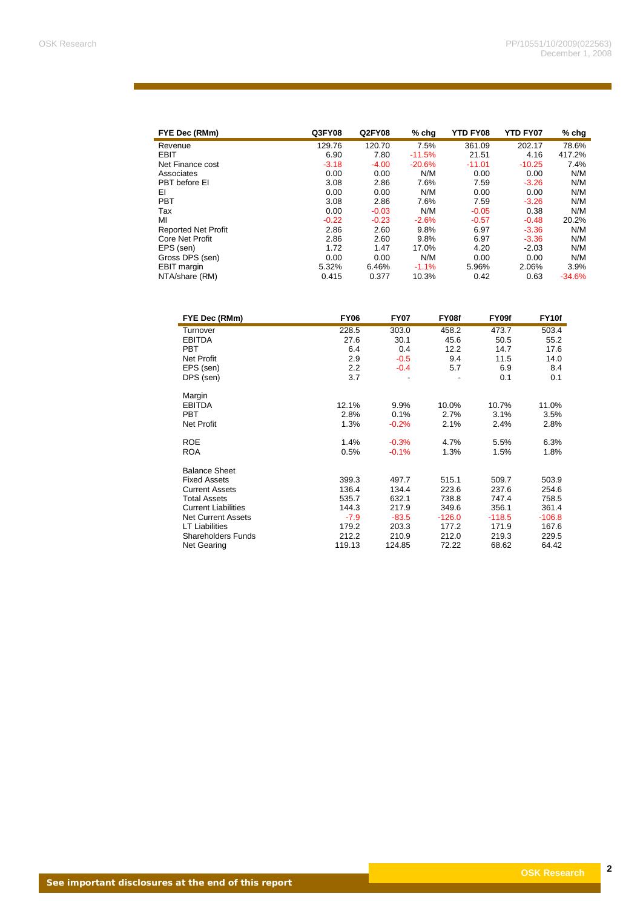| FYE Dec (RMm)              | Q3FY08  | <b>Q2FY08</b> | $%$ chg  | YTD FY08 | <b>YTD FY07</b> | $%$ chg  |
|----------------------------|---------|---------------|----------|----------|-----------------|----------|
| Revenue                    | 129.76  | 120.70        | 7.5%     | 361.09   | 202.17          | 78.6%    |
| <b>EBIT</b>                | 6.90    | 7.80          | $-11.5%$ | 21.51    | 4.16            | 417.2%   |
| Net Finance cost           | $-3.18$ | $-4.00$       | $-20.6%$ | $-11.01$ | $-10.25$        | 7.4%     |
| Associates                 | 0.00    | 0.00          | N/M      | 0.00     | 0.00            | N/M      |
| PBT before EI              | 3.08    | 2.86          | 7.6%     | 7.59     | $-3.26$         | N/M      |
| EI                         | 0.00    | 0.00          | N/M      | 0.00     | 0.00            | N/M      |
| <b>PBT</b>                 | 3.08    | 2.86          | 7.6%     | 7.59     | $-3.26$         | N/M      |
| Tax                        | 0.00    | $-0.03$       | N/M      | $-0.05$  | 0.38            | N/M      |
| MI                         | $-0.22$ | $-0.23$       | $-2.6%$  | $-0.57$  | $-0.48$         | 20.2%    |
| <b>Reported Net Profit</b> | 2.86    | 2.60          | 9.8%     | 6.97     | $-3.36$         | N/M      |
| Core Net Profit            | 2.86    | 2.60          | 9.8%     | 6.97     | $-3.36$         | N/M      |
| EPS (sen)                  | 1.72    | 1.47          | 17.0%    | 4.20     | $-2.03$         | N/M      |
| Gross DPS (sen)            | 0.00    | 0.00          | N/M      | 0.00     | 0.00            | N/M      |
| EBIT margin                | 5.32%   | 6.46%         | $-1.1%$  | 5.96%    | 2.06%           | 3.9%     |
| NTA/share (RM)             | 0.415   | 0.377         | 10.3%    | 0.42     | 0.63            | $-34.6%$ |

| FYE Dec (RMm)              | <b>FY06</b> | <b>FY07</b> | FY08f    | FY09f    | FY10f    |
|----------------------------|-------------|-------------|----------|----------|----------|
| Turnover                   | 228.5       | 303.0       | 458.2    | 473.7    | 503.4    |
| <b>EBITDA</b>              | 27.6        | 30.1        | 45.6     | 50.5     | 55.2     |
| <b>PBT</b>                 | 6.4         | 0.4         | 12.2     | 14.7     | 17.6     |
| <b>Net Profit</b>          | 2.9         | $-0.5$      | 9.4      | 11.5     | 14.0     |
| EPS (sen)                  | 2.2         | $-0.4$      | 5.7      | 6.9      | 8.4      |
| DPS (sen)                  | 3.7         |             |          | 0.1      | 0.1      |
| Margin                     |             |             |          |          |          |
| <b>EBITDA</b>              | 12.1%       | 9.9%        | 10.0%    | 10.7%    | 11.0%    |
| <b>PBT</b>                 | 2.8%        | 0.1%        | 2.7%     | 3.1%     | 3.5%     |
| <b>Net Profit</b>          | 1.3%        | $-0.2%$     | 2.1%     | 2.4%     | 2.8%     |
| <b>ROE</b>                 | 1.4%        | $-0.3%$     | 4.7%     | 5.5%     | 6.3%     |
| <b>ROA</b>                 | 0.5%        | $-0.1%$     | 1.3%     | 1.5%     | 1.8%     |
| <b>Balance Sheet</b>       |             |             |          |          |          |
| <b>Fixed Assets</b>        | 399.3       | 497.7       | 515.1    | 509.7    | 503.9    |
| <b>Current Assets</b>      | 136.4       | 134.4       | 223.6    | 237.6    | 254.6    |
| <b>Total Assets</b>        | 535.7       | 632.1       | 738.8    | 747.4    | 758.5    |
| <b>Current Liabilities</b> | 144.3       | 217.9       | 349.6    | 356.1    | 361.4    |
| <b>Net Current Assets</b>  | $-7.9$      | $-83.5$     | $-126.0$ | $-118.5$ | $-106.8$ |
| <b>LT Liabilities</b>      | 179.2       | 203.3       | 177.2    | 171.9    | 167.6    |
| <b>Shareholders Funds</b>  | 212.2       | 210.9       | 212.0    | 219.3    | 229.5    |
| <b>Net Gearing</b>         | 119.13      | 124.85      | 72.22    | 68.62    | 64.42    |

<u>a sa salah sahi</u>